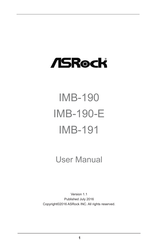# **/ISRock**

# IMB-190 IMB-190-E IMB-191

## User Manual

Version 1.1 Published July 2016 Copyright©2016 ASRock INC. All rights reserved.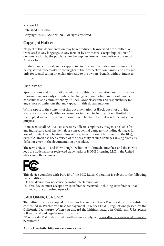Version 1.1 Published July 2016 Copyright©2016 ASRock INC. All rights reserved.

#### Copyright Notice:

No part of this documentation may be reproduced, transcribed, transmitted, or translated in any language, in any form or by any means, except duplication of documentation by the purchaser for backup purpose, without written consent of ASRock Inc.

Products and corporate names appearing in this documentation may or may not be registered trademarks or copyrights of their respective companies, and are used only for identification or explanation and to the owners' benefit, without intent to infringe.

#### Disclaimer:

Specifications and information contained in this documentation are furnished for informational use only and subject to change without notice, and should not be constructed as a commitment by ASRock. ASRock assumes no responsibility for any errors or omissions that may appear in this documentation.

With respect to the contents of this documentation, ASRock does not provide warranty of any kind, either expressed or implied, including but not limited to the implied warranties or conditions of merchantability or fitness for a particular purpose.

In no event shall ASRock, its directors, officers, employees, or agents be liable for any indirect, special, incidental, or consequential damages (including damages for loss of profits, loss of business, loss of data, interruption of business and the like), even if ASRock has been advised of the possibility of such damages arising from any defect or error in the documentation or product.

 $\mathsf{T}$  terms  $\mathsf{H}\mathsf{D}\mathsf{M}\mathsf{I}^{\mathsf{T}\mathsf{M}}$  and  $\mathsf{H}\mathsf{D}\mathsf{M}\mathsf{I}$  High-Definition Multimedia Interface, and the  $\mathsf{H}\mathsf{D}\mathsf{M}\mathsf{I}$ logo are trademarks or registered trademarks of HDMI Licensing LLC in the United States and other countries.

This device complies with Part 15 of the FCC Rules. Operation is subject to the following two conditions:

- (1) this device may not cause harmful interference, and
- (2) this device must accept any interference received, including interference that may cause undesired operation.

#### CALIFORNIA, USA ONLY

The Lithium battery adopted on this motherboard contains Perchlorate, a toxic substance controlled in Perchlorate Best Management Practices (BMP) regulations passed by the California Legislature. When you discard the Lithium battery in California, USA, please follow the related regulations in advance.

"Perchlorate Material-special handling may apply, see www.dtsc.ca.gov/hazardouswaste/ perchlorate"

#### **ASRock Website: http://www.asrock.com**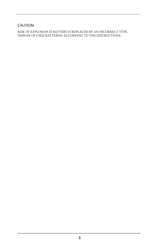#### CAUTION:

RISK OF EXPLOSION IF BATTERY IS REPLACED BY AN INCORRECT TYPE. DISPOSE OF USED BATTERIES ACCORDING TO THE INSTRUCTIONS.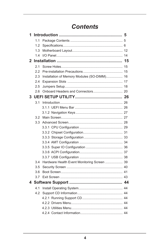## **Contents**

| 1 |     |                                             |    |
|---|-----|---------------------------------------------|----|
|   | 11  |                                             |    |
|   | 1.2 |                                             |    |
|   | 1.3 |                                             |    |
|   | 14  |                                             |    |
| 2 |     |                                             | 15 |
|   | 2.1 |                                             |    |
|   | 22  |                                             |    |
|   | 2.3 | Installation of Memory Modules (SO-DIMM) 16 |    |
|   | 2.4 |                                             |    |
|   | 2.5 |                                             |    |
|   | 2.6 |                                             |    |
| 3 |     |                                             |    |
|   | 3.1 |                                             |    |
|   |     |                                             |    |
|   |     |                                             |    |
|   | 3.2 |                                             |    |
|   | 3.3 |                                             |    |
|   |     |                                             |    |
|   |     |                                             |    |
|   |     |                                             |    |
|   |     |                                             |    |
|   |     |                                             |    |
|   |     |                                             |    |
|   |     |                                             |    |
|   | 3.4 | Hardware Health Event Monitoring Screen  39 |    |
|   | 3.5 |                                             |    |
|   | 3.6 |                                             |    |
|   | 3.7 |                                             |    |
|   |     |                                             |    |
|   | 4.1 |                                             |    |
|   | 4.2 |                                             |    |
|   |     |                                             |    |
|   |     |                                             |    |
|   |     |                                             |    |
|   |     |                                             |    |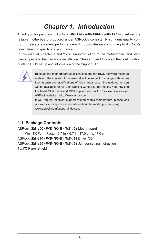## *Chapter 1: Introduction*

Thank you for purchasing ASRock *IMB-190 / IMB-190-E / IMB-191* motherboard, a reliable motherboard produced under ASRock's consistently stringent quality control. It delivers excellent performance with robust design conforming to ASRock's commitment to quality and endurance.

In this manual, chapter 1 and 2 contain introduction of the motherboard and stepby-step guide to the hardware installation. Chapter 3 and 4 contain the configuration guide to BIOS setup and information of the Support CD.



Because the motherboard specifications and the BIOS software might be updated, the content of this manual will be subject to change without notice. In case any modifications of this manual occur, the updated version will be available on ASRock website without further notice. You may find the latest VGA cards and CPU support lists on ASRock website as well. ASRock website http://www.asrock.com

If you require technical support related to this motherboard, please visit our website for specific information about the model you are using. www.asrock.com/support/index.asp

#### **1.1 Package Contents**

ASRock *IMB-190 / IMB-190-E / IMB-191* Motherboard (Mini-ITX Form Factor: 6.7-in x 6.7-in, 17.0 cm x 17.0 cm) ASRock *IMB-190 / IMB-190-E / IMB-191* Driver CD ASRock *IMB-190 / IMB-190-E / IMB-191* Jumper setting instruction 1 x I/O Panel Shield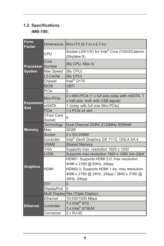### **1.2 Specifications IMB-190:**

| Form<br><b>Factor</b>   | <b>Dimensions</b>           | Mini-ITX (6.7-in x 6.7-in)                                                             |
|-------------------------|-----------------------------|----------------------------------------------------------------------------------------|
|                         | CPU                         | Socket LGA1151 for Intel® Core i7/i5/i3/Celeron<br>(Skylake-S)                         |
| <b>Processor Number</b> | Core                        | (By CPU, Max 4)                                                                        |
| <b>System</b>           | Max Speed                   | (By CPU)                                                                               |
|                         | L <sub>3</sub> Cache        | (By CPU)                                                                               |
|                         | Chipset                     | Intel <sup>®</sup> Q170                                                                |
|                         | <b>BIOS</b>                 | <b>UEFI</b>                                                                            |
|                         | PCle                        | 0                                                                                      |
|                         | Mini-PCle                   | 2 x Mini-PCle (1 x full size colay with mSATA, 1<br>x half size, both with USB signal) |
| <b>Expansion</b>        | <b>mSATA</b>                | 1 (colay with full size Mini-PCle)                                                     |
| Slot                    | PCIe                        | 1 x PCIe x4 slot                                                                       |
|                         | <b>CFast Card</b><br>Socket | 0                                                                                      |
|                         | Technology                  | Dual Channel DDR4 2133MHz SDRAM                                                        |
| <b>Memory</b>           | Max.                        | 32GB                                                                                   |
|                         | Socket                      | 2 x SO-DIMM                                                                            |
|                         | Controller                  | Intel <sup>®</sup> Gen9 Graphics DX 11/12, OGL4.3/4.4                                  |
|                         | <b>VRAM</b>                 | <b>Shared Memory</b>                                                                   |
|                         | <b>VGA</b>                  | Supports max. resolution 1920 x 1200                                                   |
|                         | <b>LVDS</b>                 | Supports max resolution 1920 x 1080 2ch-24bit                                          |
|                         |                             | HDMI1: Supports HDMI 2.0, max resolution<br>4096 x 2160 @ 60Hz, 24bpp                  |
| <b>Graphics</b>         | <b>HDMI</b>                 | HDMI2,3: Supports HDMI 1.4a, max resolution                                            |
|                         |                             |                                                                                        |
|                         |                             | 4096 x 2160 @ 24Hz, 24bpp / 3840 x 2160 @                                              |
|                         |                             | 30Hz, 24bpp                                                                            |
|                         | <b>DVI</b>                  | $\overline{0}$                                                                         |
|                         | DisplayPort                 | 0                                                                                      |
|                         |                             | Multi Display Yes (Triple Display)                                                     |
|                         | Ethernet                    | 10/100/1000 Mbps                                                                       |
| <b>Ethernet</b>         | Controller                  | $1 \times$ Intel® i210                                                                 |
|                         |                             | 1 x Intel® i219LM                                                                      |
|                         | Connector                   | $2 \times RJ-45$                                                                       |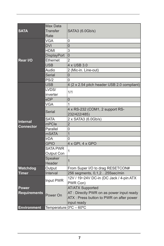|                     | Max Data                               |                                             |  |  |  |  |
|---------------------|----------------------------------------|---------------------------------------------|--|--|--|--|
|                     |                                        |                                             |  |  |  |  |
| <b>SATA</b>         | <b>Transfer</b>                        | SATA3 (6.0Gb/s)                             |  |  |  |  |
|                     | Rate                                   |                                             |  |  |  |  |
|                     | <b>VGA</b>                             | 0                                           |  |  |  |  |
|                     | <b>DVI</b>                             | $\overline{0}$                              |  |  |  |  |
|                     | <b>HDMI</b>                            | 3                                           |  |  |  |  |
|                     | <b>DisplayPort</b>                     | $\overline{0}$                              |  |  |  |  |
| Rear I/O            | Ethernet                               | $\overline{2}$                              |  |  |  |  |
|                     | <b>USB</b>                             | 4 x USB 3.0                                 |  |  |  |  |
|                     | Audio                                  | 2 (Mic-in. Line-out)                        |  |  |  |  |
|                     | Serial                                 | 0                                           |  |  |  |  |
|                     | PS/2                                   | 0                                           |  |  |  |  |
|                     | <b>USB</b>                             | 4 (2 x 2.54 pitch header USB 2.0 compliant) |  |  |  |  |
|                     | LVDS/                                  |                                             |  |  |  |  |
|                     | inverter                               | 1/1                                         |  |  |  |  |
|                     | eDP                                    | $\mathbf{0}$                                |  |  |  |  |
|                     | <b>VGA</b>                             | 1                                           |  |  |  |  |
|                     |                                        | 4 x RS-232 (COM1, 2 support RS-             |  |  |  |  |
|                     | Serial                                 | 232/422/485)                                |  |  |  |  |
|                     | <b>SATA</b>                            | 2 x SATA3 (6.0Gb/s)                         |  |  |  |  |
| Internal            | mPCle                                  | $\overline{2}$                              |  |  |  |  |
| <b>Connector</b>    | Parallel                               | 0                                           |  |  |  |  |
|                     | <b>mSATA</b>                           | $\overline{1}$                              |  |  |  |  |
|                     | <b>IrDA</b>                            | 0                                           |  |  |  |  |
|                     | <b>GPIO</b>                            | 4 x GPI, 4 x GPO                            |  |  |  |  |
|                     | <b>SATA PWR</b>                        |                                             |  |  |  |  |
|                     | Output Con                             | 1                                           |  |  |  |  |
|                     | Speaker                                |                                             |  |  |  |  |
|                     |                                        | $\mathbf{1}$                                |  |  |  |  |
|                     | Header                                 |                                             |  |  |  |  |
| Watchdog            | Output                                 | From Super I/O to drag RESETCON#            |  |  |  |  |
| <b>Timer</b>        | Interval                               | 256 segments, 0,1,2255sec/min               |  |  |  |  |
|                     | Input PWR                              | 12V / 19~24V DC-in (DC Jack / 4-pin ATX     |  |  |  |  |
|                     |                                        | PWR Con)                                    |  |  |  |  |
| <b>Power</b>        |                                        | <b>AT/ATX Supported</b>                     |  |  |  |  |
| <b>Requirements</b> | Power On                               | AT: Directly PWR on as power input ready    |  |  |  |  |
|                     |                                        | ATX : Press button to PWR on after power    |  |  |  |  |
|                     |                                        | input ready                                 |  |  |  |  |
| <b>Environment</b>  | Temperature $0^{\circ}C - 60^{\circ}C$ |                                             |  |  |  |  |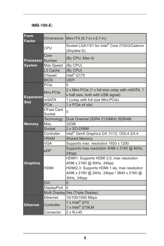#### **IMB-190-E:**

| Form<br><b>Factor</b>   | <b>Dimensions</b>           | Mini-ITX (6.7-in x 6.7-in)                                                                                                                                                       |
|-------------------------|-----------------------------|----------------------------------------------------------------------------------------------------------------------------------------------------------------------------------|
|                         | CPU                         | Socket LGA1151 for Intel® Core i7/i5/i3/Celeron<br>(Skylake-S)                                                                                                                   |
| <b>Processor Number</b> | Core                        | (By CPU, Max 4)                                                                                                                                                                  |
| <b>System</b>           | Max Speed                   | (By CPU)                                                                                                                                                                         |
|                         | L <sub>3</sub> Cache        | (By CPU)                                                                                                                                                                         |
|                         | Chipset                     | Intel <sup>®</sup> Q170                                                                                                                                                          |
|                         | <b>BIOS</b>                 | <b>UEFI</b>                                                                                                                                                                      |
|                         | PCIe                        | 0                                                                                                                                                                                |
| <b>Expansion</b>        | Mini-PCle                   | 2 x Mini-PCle (1 x full size colay with mSATA, 1<br>x half size, both with USB signal)                                                                                           |
| <b>Slot</b>             | <b>mSATA</b>                | 1 (colay with full size Mini-PCIe)                                                                                                                                               |
|                         | PCle                        | 1 x PCIe x4 slot                                                                                                                                                                 |
|                         | <b>CFast Card</b><br>Socket | 0                                                                                                                                                                                |
|                         | Technology                  | Dual Channel DDR4 2133MHz SDRAM                                                                                                                                                  |
| <b>Memory</b>           | Max.                        | 32GB                                                                                                                                                                             |
|                         | <b>Socket</b>               | 2 x SO-DIMM                                                                                                                                                                      |
|                         | Controller                  | Intel <sup>®</sup> Gen9 Graphics DX 11/12, OGL4.3/4.4                                                                                                                            |
|                         | <b>VRAM</b>                 | <b>Shared Memory</b>                                                                                                                                                             |
|                         | <b>VGA</b>                  | Supports max. resolution 1920 x 1200                                                                                                                                             |
|                         | eDP                         | Supports max resolution 4096 x 2160 @ 60Hz,<br>24bpp                                                                                                                             |
| <b>Graphics</b>         | <b>HDMI</b>                 | HDMI1: Supports HDMI 2.0, max resolution<br>4096 x 2160 @ 60Hz, 24bpp<br>HDMI2,3: Supports HDMI 1.4a, max resolution<br>4096 x 2160 @ 24Hz, 24bpp / 3840 x 2160 @<br>30Hz, 24bpp |
|                         | <b>DVI</b>                  | $\overline{0}$                                                                                                                                                                   |
|                         | DisplayPort                 | $\overline{0}$                                                                                                                                                                   |
|                         | Multi Display               | Yes (Triple Display)                                                                                                                                                             |
|                         | Ethernet                    | 10/100/1000 Mbps                                                                                                                                                                 |
| <b>Ethernet</b>         | Controller                  | $1 \times$ Intel® i210<br>1 x Intel® i219LM                                                                                                                                      |
|                         | Connector                   | 2 x RJ-45                                                                                                                                                                        |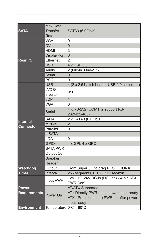|                     | Max Data                               |                                             |  |  |  |
|---------------------|----------------------------------------|---------------------------------------------|--|--|--|
|                     |                                        |                                             |  |  |  |
| <b>SATA</b>         | <b>Transfer</b>                        | SATA3 (6.0Gb/s)                             |  |  |  |
|                     | Rate                                   |                                             |  |  |  |
|                     | <b>VGA</b>                             | 0                                           |  |  |  |
|                     | <b>DVI</b>                             | $\overline{0}$                              |  |  |  |
|                     | <b>HDMI</b>                            | 3                                           |  |  |  |
|                     | <b>DisplayPort</b>                     | $\overline{0}$                              |  |  |  |
| Rear I/O            | Ethernet                               | $\overline{2}$                              |  |  |  |
|                     | <b>USB</b>                             | 4 x USB 3.0                                 |  |  |  |
|                     | Audio                                  | 2 (Mic-in. Line-out)                        |  |  |  |
|                     | Serial                                 | 0                                           |  |  |  |
|                     | PS/2                                   | 0                                           |  |  |  |
|                     | <b>USB</b>                             | 4 (2 x 2.54 pitch header USB 2.0 compliant) |  |  |  |
|                     | LVDS/                                  |                                             |  |  |  |
|                     | inverter                               | 0/0                                         |  |  |  |
|                     | eDP                                    | $\mathbf{1}$                                |  |  |  |
|                     | <b>VGA</b>                             | 0                                           |  |  |  |
|                     |                                        | 4 x RS-232 (COM1, 2 support RS-             |  |  |  |
|                     | Serial                                 | 232/422/485)                                |  |  |  |
|                     | <b>SATA</b>                            | 2 x SATA3 (6.0Gb/s)                         |  |  |  |
| Internal            | mPCle                                  | $\overline{2}$                              |  |  |  |
| <b>Connector</b>    | Parallel                               | 0                                           |  |  |  |
|                     | <b>mSATA</b>                           | $\overline{1}$                              |  |  |  |
|                     | <b>IrDA</b>                            | 0                                           |  |  |  |
|                     | <b>GPIO</b>                            | 4 x GPI, 4 x GPO                            |  |  |  |
|                     | <b>SATA PWR</b>                        |                                             |  |  |  |
|                     | Output Con                             | 1                                           |  |  |  |
|                     | Speaker                                |                                             |  |  |  |
|                     | Header                                 | $\mathbf{1}$                                |  |  |  |
|                     |                                        |                                             |  |  |  |
| Watchdog            | Output                                 | From Super I/O to drag RESETCON#            |  |  |  |
| <b>Timer</b>        | Interval                               | 256 segments, 0,1,2255sec/min               |  |  |  |
|                     | Input PWR                              | 12V / 19~24V DC-in (DC Jack / 4-pin ATX     |  |  |  |
|                     |                                        | PWR Con)                                    |  |  |  |
| <b>Power</b>        |                                        | <b>AT/ATX Supported</b>                     |  |  |  |
| <b>Requirements</b> | Power On                               | AT: Directly PWR on as power input ready    |  |  |  |
|                     |                                        | ATX : Press button to PWR on after power    |  |  |  |
|                     |                                        | input ready                                 |  |  |  |
| <b>Environment</b>  | Temperature $0^{\circ}C - 60^{\circ}C$ |                                             |  |  |  |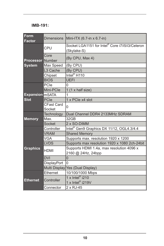#### **IMB-191:**

| Form<br><b>Factor</b>   | <b>Dimensions</b>           | Mini-ITX (6.7-in x 6.7-in)                                      |  |  |  |  |
|-------------------------|-----------------------------|-----------------------------------------------------------------|--|--|--|--|
|                         | CPU                         | Socket LGA1151 for Intel® Core i7/i5/i3/Celeron<br>(Skylake-S)  |  |  |  |  |
| <b>Processor Number</b> | Core                        | (By CPU, Max 4)                                                 |  |  |  |  |
| <b>System</b>           | Max Speed                   | (By CPU)                                                        |  |  |  |  |
|                         | L <sub>3</sub> Cache        | (By CPU)                                                        |  |  |  |  |
|                         | Chipset                     | Inter <sup>®</sup> H110                                         |  |  |  |  |
|                         | <b>BIOS</b>                 | <b>UEFI</b>                                                     |  |  |  |  |
|                         | PCle                        | 0                                                               |  |  |  |  |
|                         | Mini-PCle                   | 1 $(1 x half size)$                                             |  |  |  |  |
| <b>Expansion mSATA</b>  |                             | 1                                                               |  |  |  |  |
| <b>Slot</b>             | PCle                        | 1 x PCIe x4 slot                                                |  |  |  |  |
|                         | <b>CFast Card</b><br>Socket | 0                                                               |  |  |  |  |
|                         | Technology                  | Dual Channel DDR4 2133MHz SDRAM                                 |  |  |  |  |
| <b>Memory</b>           | Max.                        | 32GB                                                            |  |  |  |  |
|                         | Socket                      | 2 x SO-DIMM                                                     |  |  |  |  |
|                         | Controller                  | Intel <sup>®</sup> Gen9 Graphics DX 11/12, OGL4.3/4.4           |  |  |  |  |
|                         | <b>VRAM</b>                 | <b>Shared Memory</b>                                            |  |  |  |  |
|                         | <b>VGA</b>                  | Supports max. resolution 1920 x 1200                            |  |  |  |  |
|                         | <b>LVDS</b>                 | Supports max resolution 1920 x 1080 2ch-24bit                   |  |  |  |  |
| <b>Graphics</b>         | <b>HDMI</b>                 | Supports HDMI 1.4a, max resolution 4096 x<br>2160 @ 24Hz, 24bpp |  |  |  |  |
|                         | <b>DVI</b>                  | $\Omega$                                                        |  |  |  |  |
|                         | DisplayPort                 | $\Omega$                                                        |  |  |  |  |
|                         |                             | Multi Display Yes (Dual Display)                                |  |  |  |  |
|                         | Ethernet                    | 10/100/1000 Mbps                                                |  |  |  |  |
| <b>Ethernet</b>         | Controller                  | $1 \times$ Intel® i210<br>1 x Intel® i219V                      |  |  |  |  |
|                         | Connector                   | $2 \times RJ-45$                                                |  |  |  |  |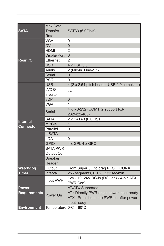|                     | Max Data                               |                                             |  |  |  |  |
|---------------------|----------------------------------------|---------------------------------------------|--|--|--|--|
|                     |                                        |                                             |  |  |  |  |
| <b>SATA</b>         | <b>Transfer</b>                        | SATA3 (6.0Gb/s)                             |  |  |  |  |
|                     | Rate                                   |                                             |  |  |  |  |
|                     | <b>VGA</b>                             | 0                                           |  |  |  |  |
|                     | <b>DVI</b>                             | 0                                           |  |  |  |  |
|                     | <b>HDMI</b>                            | $\overline{2}$                              |  |  |  |  |
|                     | <b>DisplayPort</b>                     | $\overline{0}$                              |  |  |  |  |
| Rear I/O            | Ethernet                               | $\overline{2}$                              |  |  |  |  |
|                     | <b>USB</b>                             | 4 x USB 3.0                                 |  |  |  |  |
|                     | Audio                                  | 2 (Mic-in. Line-out)                        |  |  |  |  |
|                     | Serial                                 | 0                                           |  |  |  |  |
|                     | PS/2                                   | 0                                           |  |  |  |  |
|                     | <b>USB</b>                             | 4 (2 x 2.54 pitch header USB 2.0 compliant) |  |  |  |  |
|                     | LVDS/                                  |                                             |  |  |  |  |
|                     | inverter                               | 1/1                                         |  |  |  |  |
|                     | eDP                                    | $\mathbf{0}$                                |  |  |  |  |
|                     | <b>VGA</b>                             | 1                                           |  |  |  |  |
|                     |                                        | 4 x RS-232 (COM1, 2 support RS-             |  |  |  |  |
|                     | Serial                                 | 232/422/485)                                |  |  |  |  |
|                     | <b>SATA</b>                            | 2 x SATA3 (6.0Gb/s)                         |  |  |  |  |
| Internal            | mPCle                                  | $\overline{1}$                              |  |  |  |  |
| <b>Connector</b>    | Parallel                               | 0                                           |  |  |  |  |
|                     | <b>mSATA</b>                           | $\overline{1}$                              |  |  |  |  |
|                     | <b>IrDA</b>                            | 0                                           |  |  |  |  |
|                     | <b>GPIO</b>                            | 4 x GPI, 4 x GPO                            |  |  |  |  |
|                     | <b>SATA PWR</b>                        |                                             |  |  |  |  |
|                     |                                        | 1                                           |  |  |  |  |
|                     | Output Con<br>Speaker                  |                                             |  |  |  |  |
|                     |                                        | $\mathbf{1}$                                |  |  |  |  |
|                     | Header                                 |                                             |  |  |  |  |
| Watchdog            | Output                                 | From Super I/O to drag RESETCON#            |  |  |  |  |
| <b>Timer</b>        | Interval                               | 256 segments, 0,1,2255sec/min               |  |  |  |  |
|                     | Input PWR                              | 12V / 19~24V DC-in (DC Jack / 4-pin ATX     |  |  |  |  |
|                     |                                        | PWR Con)                                    |  |  |  |  |
| <b>Power</b>        |                                        | <b>AT/ATX Supported</b>                     |  |  |  |  |
| <b>Requirements</b> | Power On                               | AT: Directly PWR on as power input ready    |  |  |  |  |
|                     |                                        | ATX : Press button to PWR on after power    |  |  |  |  |
|                     |                                        | input ready                                 |  |  |  |  |
| <b>Environment</b>  | Temperature $0^{\circ}C - 60^{\circ}C$ |                                             |  |  |  |  |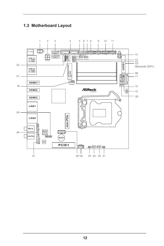#### **1.3 Motherboard Layout**

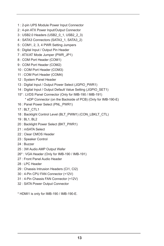- 1 : 2-pin UPS Module Power Input Connector
- 2 : 4-pin ATX Power Input/Output Connector
- 3 : USB2.0 Headers (USB2\_0\_1, USB2\_2\_3)
- 4 : SATA3 Connectors (SATA3\_1, SATA3\_2)
- 5 : COM1, 2, 3, 4 PWR Setting Jumpers
- 6 : Digital Input / Output Pin Header
- 7 : ATX/AT Mode Jumper (PWR\_JP1)
- 8 : COM Port Header (COM1)
- 9 : COM Port Header (COM2)
- 10 : COM Port Header (COM3)
- 11 : COM Port Header (COM4)
- 12 : System Panel Header
- 13 : Digital Input / Output Power Select (JGPIO\_PWR1)
- 14 : Digital Input / Output Default Value Setting (JGPIO\_SET1)
- 15\* : LVDS Panel Connector (Only for IMB-190 / IMB-191)
	- \* eDP Connector (on the Backside of PCB) (Only for IMB-190-E)
- 16 : Panel Power Select (PNL\_PWR1)
- 17 : BLT\_CTL1
- 18 : Backlight Control Level (BLT\_PWM1) (CON\_LBKLT\_CTL)
- 19 : BL1, BL2
- 20 : Backlight Power Select (BKT\_PWR1)
- 21 : mSATA Select
- 22 : Clear CMOS Header
- 23 : Speaker Control
- 24 : Buzzer
- 25 : 3W Audio AMP Output Wafer
- 26\* : VGA Header (Only for IMB-190 / IMB-191)
- 27 : Front Panel Audio Header
- 28 : LPC Header
- 29 : Chassis Intrusion Headers (CI1, CI2)
- 30 : 4-Pin CPU FAN Connector (+12V)
- 31 : 4-Pin Chassis FAN Connector (+12V)
- 32 : SATA Power Output Connector
- \* HDMI1 is only for IMB-190 / IMB-190-E.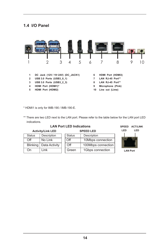#### **1.4 I/O Panel**



\* HDMI1 is only for IMB-190 / IMB-190-E.

\*\* There are two LED next to the LAN port. Please refer to the table below for the LAN port LED indications.

#### **LAN Port LED Indications Activity/Link LED SPEED LED** Status Description Status Description



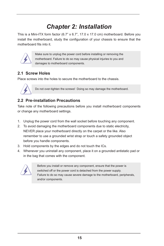## *Chapter 2: Installation*

This is a Mini-ITX form factor (6.7" x 6.7", 17.0 x 17.0 cm) motherboard. Before you install the motherboard, study the configuration of your chassis to ensure that the motherboard fits into it.



Make sure to unplug the power cord before installing or removing the motherboard. Failure to do so may cause physical injuries to you and damages to motherboard components.

#### **2.1 Screw Holes**

Place screws into the holes to secure the motherboard to the chassis.



Do not over-tighten the screws! Doing so may damage the motherboard.

### **2.2 Pre-installation Precautions**

Take note of the following precautions before you install motherboard components or change any motherboard settings.

- 1. Unplug the power cord from the wall socket before touching any component.
- 2. To avoid damaging the motherboard components due to static electricity, NEVER place your motherboard directly on the carpet or the like. Also remember to use a grounded wrist strap or touch a safety grounded object before you handle components.
- 3. Hold components by the edges and do not touch the ICs.
- 4. Whenever you uninstall any component, place it on a grounded antistatic pad or in the bag that comes with the component.



 Before you install or remove any component, ensure that the power is switched off or the power cord is detached from the power supply. Failure to do so may cause severe damage to the motherboard, peripherals, and/or components.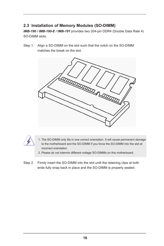#### **2.3 Installation of Memory Modules (SO-DIMM)**

*IMB-190 / IMB-190-E / IMB-191* provides two 204-pin DDR4 (Double Data Rate 4) SO-DIMM slots.

Step 1. Align a SO-DIMM on the slot such that the notch on the SO-DIMM matches the break on the slot.





- 1. The SO-DIMM only fits in one correct orientation. It will cause permanent damage to the motherboard and the SO-DIMM if you force the SO-DIMM into the slot at incorrect orientation.
- 2. Please do not intermix different voltage SO-DIMMs on this motherboard.
- Step 2. Firmly insert the SO-DIMM into the slot until the retaining clips at both ends fully snap back in place and the SO-DIMM is properly seated.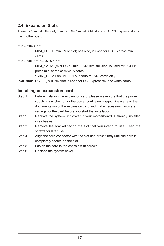#### **2.4 Expansion Slots**

There is 1 mini-PCIe slot, 1 mini-PCIe / mini-SATA slot and 1 PCI Express slot on this motherboard.

#### **mini-PCIe slot:**

MINI\_PCIE1 (mini-PCIe slot; half size) is used for PCI Express mini cards.

#### **mini-PCIe / mini-SATA slot:**

MINI\_SATA1 (mini-PCIe / mini-SATA slot; full size) is used for PCI Express mini cards or mSATA cards.

\* MINI\_SATA1 on IMB-191 supports mSATA cards only.

**PCIE slot:** PCIE1 (PCIE x4 slot) is used for PCI Express x4 lane width cards.

#### **Installing an expansion card**

- Step 1. Before installing the expansion card, please make sure that the power supply is switched off or the power cord is unplugged. Please read the documentation of the expansion card and make necessary hardware settings for the card before you start the installation.
- Step 2. Remove the system unit cover (if your motherboard is already installed in a chassis).
- Step 3. Remove the bracket facing the slot that you intend to use. Keep the screws for later use.
- Step 4. Align the card connector with the slot and press firmly until the card is completely seated on the slot.
- Step 5. Fasten the card to the chassis with screws.
- Step 6. Replace the system cover.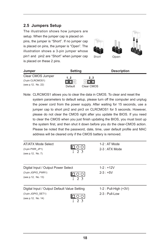#### **2.5 Jumpers Setup**

The illustration shows how jumpers are setup. When the jumper cap is placed on pins, the jumper is "Short". If no jumper cap is placed on pins, the jumper is "Open". The illustration shows a 3-pin jumper whose pin1 and pin2 are "Short" when jumper cap is placed on these 2 pins.



| Jumper             | Setting        |            | <b>Description</b> |
|--------------------|----------------|------------|--------------------|
| Clear CMOS Jumper  | 1 <sub>2</sub> | 2 3        |                    |
| (3-pin CLRCMOS1)   |                |            |                    |
| (see p.12, No. 22) | Default        | Clear CMOS |                    |

Note: CLRCMOS1 allows you to clear the data in CMOS. To clear and reset the system parameters to default setup, please turn off the computer and unplug the power cord from the power supply. After waiting for 15 seconds, use a jumper cap to short pin2 and pin3 on CLRCMOS1 for 5 seconds. However, please do not clear the CMOS right after you update the BIOS. If you need to clear the CMOS when you just finish updating the BIOS, you must boot up the system first, and then shut it down before you do the clear-CMOS action. Please be noted that the password, date, time, user default profile and MAC address will be cleared only if the CMOS battery is removed.

| AT/ATX Mode Select<br>(3-pin PWR JP1)<br>(see p.12, No. 7)                               | 23     | $1-2:AT Mode$<br>$2-3$ : ATX Mode             |
|------------------------------------------------------------------------------------------|--------|-----------------------------------------------|
| Digital Input / Output Power Select<br>(3-pin JGPIO PWR1)<br>(see p.12, No. 13)          | 23     | $1 - 2 : +12V$<br>$2 - 3 : +5V$               |
| Digital Input / Output Default Value Setting<br>(3-pin JGPIO SET1)<br>(see p.12, No. 14) | 3<br>2 | $1-2$ : Pull-High $(+3V)$<br>$2-3$ : Pull-Low |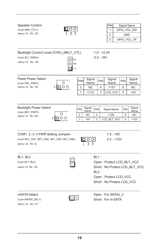| Speaker Control<br>(3-pin AMP_CTL1)<br>(see p.12, No. 23)<br>Backlight Control Level (CON LBKLT CTL) | $\frac{\square \bigcirc \bigcirc}{1 \cdot 2 \cdot 3}$ |                  |                                                 |               | PIN<br>1<br>$\overline{2}$<br>3<br>$1 - 2 : +3.3V$ |                             | <b>GND</b>    | Signal Name<br>GPIO_VOL_DW<br>GPIO VOL UP                  |
|------------------------------------------------------------------------------------------------------|-------------------------------------------------------|------------------|-------------------------------------------------|---------------|----------------------------------------------------|-----------------------------|---------------|------------------------------------------------------------|
| (3-pin BLT PWM1)<br>(see p.12, No. 18)                                                               |                                                       | $\sim$<br>$\sim$ |                                                 | $2 - 3 : +5V$ |                                                    |                             |               |                                                            |
| <b>Panel Power Select</b><br>(4-pin PNL PWR1)<br>(see p.12, No. 16)                                  | $\overline{\mathsf{a}}$ oo                            | PIN<br>2<br>1    | Signal<br>Name<br><b>NC</b><br>$+3.3V$          | PIN<br>4<br>3 | Signal<br>Name<br>$+12V$<br>LCD_VCC                |                             | PIN<br>6<br>5 | Signal<br>Name<br>NC.<br>$+5V$                             |
| <b>Backlight Power Select</b><br>(4-pin BKT_PWR1)<br>(see p.12, No. 20)                              | O<br>000                                              | PIN<br>2<br>1    | Signal<br>Name<br><b>NC</b><br>$+5V$            | PIN<br>4<br>3 | Signal Name<br>+VIN<br>LCD_BLT_VCC                 |                             | PIN<br>6<br>5 | Signal<br>Name<br><b>NC</b><br>$+12V$                      |
| COM1, 2, 3, 4 PWR Setting Jumpers<br>(3-pin SET_CM1, SET_CM2, SET_CM3, SET_CM4)<br>(see p.12, No. 5) |                                                       |                  | $\frac{\square\bigcirc\bigcirc}{1\quad2\quad3}$ |               |                                                    | $1-2:+5V$<br>$2 - 3 : +12V$ |               |                                                            |
| BL1, BL2<br>(2-pin BL1, BL2)<br>(see p.12 No. 19)                                                    |                                                       |                  |                                                 | BL1:<br>BL2:  | Open: Protect LCD_VCC<br>Short: No Protect LCD_VCC |                             |               | Open: Protect LCD_BLT_VCC<br>Short: No Protect LCD_BLT_VCC |
| mSATA Select<br>(2-pin MSATA SEL1)<br>(see p.12, No. 21)                                             |                                                       |                  |                                                 |               | Open: For SATA3_2<br>Short: For m-SATA             |                             |               |                                                            |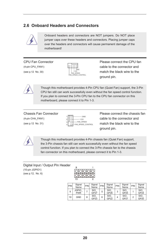#### **2.6 Onboard Headers and Connectors**



Onboard headers and connectors are NOT jumpers. Do NOT place jumper caps over these headers and connectors. Placing jumper caps over the headers and connectors will cause permanent damage of the motherboard!



CPU Fan Connector **Please connect the CPU fan** (4-pin CPU FAN1)  $\sqrt{2}$   $\sqrt{2}$  cable to the connector and (see p.12 No. 30)  $\left| \begin{array}{cc} \frac{1}{2} & \frac{1}{2} & \frac{1}{2} \\ \frac{1}{2} & \frac{1}{2} & \frac{1}{2} \end{array} \right|$  match the black wire to the ground pin.



 Though this motherboard provides 4-Pin CPU fan (Quiet Fan) support, the 3-Pin CPU fan still can work successfully even without the fan speed control function. If you plan to connect the 3-Pin CPU fan to the CPU fan connector on this motherboard, please connect it to Pin 1-3.

| 1                       | GND               |
|-------------------------|-------------------|
| $\overline{\mathbf{c}}$ | $-12V$            |
| 3                       | AN SPEED          |
| 4                       | FAN SPEED_CONTROL |
|                         |                   |

Chassis Fan Connector Please connect the chassis fan  $(4\text{-pin CHA FAN1})$   $\begin{array}{c} \uparrow \qquad \qquad \qquad \downarrow \qquad \qquad \qquad \qquad \downarrow \qquad \qquad \qquad \downarrow \qquad \qquad \qquad \downarrow \qquad \qquad \qquad \downarrow \qquad \qquad \downarrow \qquad \qquad \downarrow \qquad \qquad \downarrow \qquad \qquad \downarrow \qquad \qquad \downarrow \qquad \qquad \downarrow \qquad \qquad \downarrow \qquad \qquad \downarrow \qquad \qquad \downarrow \qquad \qquad \downarrow \qquad \qquad \downarrow \qquad \qquad \downarrow \qquad \qquad \downarrow \qquad \qquad \downarrow \qquad \qquad$ (see p.12 No. 31)  $\frac{3}{2}$  match the black wire to the ground pin.



 Though this motherboard provides 4-Pin chassis fan (Quiet Fan) support, the 3-Pin chassis fan still can work successfully even without the fan speed control function. If you plan to connect the 3-Pin chassis fan to the chassis fan connector on this motherboard, please connect it to Pin 1-3.

#### Digital Input / Output Pin Header (10-pin JGPIO1) (see p.12, No. 6)

$$
\underbrace{\overset{\scriptscriptstyle9}{\text{O}}\text{O}}\overset{\scriptscriptstyle1}{\text{O}}\text{O}}_{\scriptscriptstyle{10}}\underbrace{\overset{\scriptscriptstyle1}{\text{O}}\text{O}}_{\scriptscriptstyle{2}}
$$

| PIN             | Signal<br>Name             | PIN | Signal<br>Name                 | <b>PIN</b> | Signal<br>Name                 | PIN | Signal<br>Name                 | PIN            | Signal<br>Name                 |
|-----------------|----------------------------|-----|--------------------------------|------------|--------------------------------|-----|--------------------------------|----------------|--------------------------------|
| 9               | <b>JGPIO</b><br><b>PWR</b> |     | <b>SIO</b><br>GP <sub>27</sub> | 5          | <b>SIO</b><br>GP <sub>26</sub> | 3   | <b>SIO</b><br>GP <sub>25</sub> |                | <b>SIO</b><br>GP <sub>24</sub> |
| 10 <sup>1</sup> | <b>GND</b>                 | 8   | <b>SIO</b><br>GP <sub>23</sub> | 6          | <b>SIO</b><br>GP22             | 4   | <b>SIO</b><br>GP21             | $\overline{c}$ | <b>SIO</b><br>GP20             |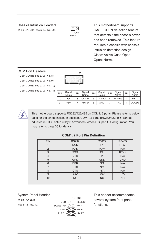

Chassis Intrusion Headers This motherboard supports (2-pin CI1, CI2: see p.12, No. 29)  $1 \leq 1 \leq$  CASE OPEN detection feature that detects if the chassis cover has been removed. This feature requires a chassis with chassis intrusion detection design. Close: Active Case Open Open: Normal

#### COM Port Headers

(10-pin COM1: see p.12, No. 8)

(10-pin COM2: see p.12, No. 9)

(10-pin COM3: see p.12, No. 10)

(10-pin COM4: see p.12, No. 11)



| PIN | Signal<br>Name | PIN | Signal<br>Name | PIN | Signal<br>Name | PIN | Signal<br>Name | PIN | Signal<br>Name |
|-----|----------------|-----|----------------|-----|----------------|-----|----------------|-----|----------------|
| 10  | N/A            | 8   | CCTS#          | 6   | DDSR#          | 4   | DDTR#          | າ   | <b>RRXD</b>    |
| 9   | $+5V$          |     | RRTS#          | 5   | <b>GND</b>     | 3   | TTXD           |     | DDCD#          |



 This motherboard supports RS232/422/485 on COM1, 2 ports. Please refer to below table for the pin definition. In addition, COM1, 2 ports (RS232/422/485) can be adjusted in BIOS setup utility > Advanced Screen > Super IO Configuration. You may refer to page 36 for details.

**COM1, 2 Port Pin Definition**

| <b>PIN</b>     | <b>RS232</b> | <b>RS422</b> | <b>RS485</b> |
|----------------|--------------|--------------|--------------|
|                | <b>DCD</b>   | TX-          | RTX-         |
| $\overline{2}$ | <b>RXD</b>   | $RX+$        | N/A          |
| 3              | <b>TXD</b>   | $TX+$        | RTX+         |
| $\overline{4}$ | <b>DTR</b>   | RX-          | N/A          |
| 5              | <b>GND</b>   | <b>GND</b>   | <b>GND</b>   |
| 6              | <b>DSR</b>   | N/A          | N/A          |
| 7              | <b>RTS</b>   | N/A          | N/A          |
| 8              | <b>CTS</b>   | N/A          | N/A          |
| 9              | $+5V$        | $+5V$        | $+5V$        |
| 10             | <b>NC</b>    | <b>NC</b>    | <b>NC</b>    |

(see p.12, No. 12)  $\overrightarrow{B}$   $\overrightarrow{C}$   $\overrightarrow{C}$   $\overrightarrow{C}$   $\overrightarrow{C}$  functions. PWRBTN# PLED-PLED+ GND HDLED-HDLED+ 1 GND

System Panel Header This header accommodates (9-pin PANEL1)  $\overline{S}$  on  $\overline{S}$  several system front panel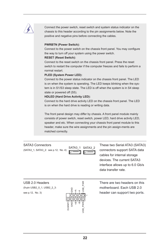

Connect the power switch, reset switch and system status indicator on the chassis to this header according to the pin assignments below. Note the positive and negative pins before connecting the cables.

#### **PWRBTN (Power Switch):**

Connect to the power switch on the chassis front panel. You may configure the way to turn off your system using the power switch.

#### **RESET (Reset Switch):**

Connect to the reset switch on the chassis front panel. Press the reset switch to restart the computer if the computer freezes and fails to perform a normal restart.

#### **PLED (System Power LED):**

Connect to the power status indicator on the chassis front panel. The LED is on when the system is operating. The LED keeps blinking when the system is in S1/S3 sleep state. The LED is off when the system is in S4 sleep state or powered off (S5).

#### **HDLED (Hard Drive Activity LED):**

Connect to the hard drive activity LED on the chassis front panel. The LED is on when the hard drive is reading or writing data.

The front panel design may differ by chassis. A front panel module mainly consists of power switch, reset switch, power LED, hard drive activity LED, speaker and etc. When connecting your chassis front panel module to this header, make sure the wire assignments and the pin assign-ments are matched correctly.



SATA3 Connectors<br>
SATA3 1 SATA3 2<br>
SATA3 2 (SATA3\_1, SATA3\_2: see p.12, No. 4) connectors support SATA data cables for internal storage devices. The current SATA3 interface allows up to 6.0 Gb/s data transfer rate.



USB 2.0 Headers  $\frac{1}{2}$  There are two headers on this (9-pin USB2\_0\_1, USB2\_2\_3:  $\overline{\omega}$  motherboard. Each USB 2.0 see p.12, No. 3)  $\begin{array}{ccc}\n & \circ & \circ & \circ \\
 & & \circ & \circ & \circ \\
 \hline\n & & \circ & \circ & \circ\n\end{array}$  header can support two ports.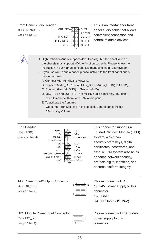

Front Panel Audio Header<br>  $\overline{O}$  This is an interface for front<br>  $\overline{O}$  This is an interface for front<br>  $\overline{O}$   $\overline{O}$   $\overline{O}$   $\overline{O}$   $\overline{O}$   $\overline{O}$  and audio cable that allow (9-pin HD\_AUDIO1)  $\overline{OUT\_RET}$   $\overline{OUT\_RET}$  panel audio cable that allows (see p.12 No. 27)  $MIC\_RET \rightarrow OIO \rightarrow OUT2\_R$  convenient connection and control of audio devices.

- 1. High Definition Audio supports Jack Sensing, but the panel wire on the chassis must support HDA to function correctly. Please follow the instruction in our manual and chassis manual to install your system.
- 2. If you use AC'97 audio panel, please install it to the front panel audio header as below:
	- A. Connect Mic\_IN (MIC) to MIC2\_L.
	- B. Connect Audio\_R (RIN) to OUT2\_R and Audio\_L (LIN) to OUT2\_L.
	- C. Connect Ground (GND) to Ground (GND).
	- D. MIC\_RET and OUT\_RET are for HD audio panel only. You don't need to connect them for AC'97 audio panel.
	- E. To activate the front mic. Go to the "FrontMic" Tab in the Realtek Control panel. Adjust "Recording Volume".

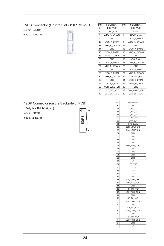#### LVDS Connector (Only for IMB-190 / IMB-191)

(40-pin LVDS1) (see p.12 No. 15)

|    |                  | ۱  | ١<br>٦<br>i,                    |    |
|----|------------------|----|---------------------------------|----|
|    | ۱<br>и           | r. | ١<br>١                          |    |
|    | ٠<br>ł           |    | c<br>٠<br>۰<br>٠                |    |
|    |                  |    |                                 |    |
|    | ٠                |    | ٠                               |    |
|    | ı<br>٠           | ٠  |                                 |    |
|    | î<br>ı<br>f      |    | ٠<br>×                          |    |
|    | ۱<br>I           |    |                                 |    |
|    | ۰<br>в           | ۰  | ь<br>l                          |    |
|    | $\sim$<br>٠<br>× | ÷  | ı<br>î<br>٠                     |    |
|    | ÷<br>۰<br>٠      |    | ٠<br>۰<br>٠<br>٠<br>٠<br>٠<br>J |    |
|    | Ŧ<br>÷<br>÷      | ł. | ı<br>۹<br>٠                     |    |
|    | ٠                |    |                                 |    |
|    | ٠<br>٠<br>ı      |    | ı<br>E                          |    |
|    |                  |    | ì<br>۰                          |    |
|    | н                |    | F<br>с                          |    |
|    | ٠<br>٠<br>٤      |    | í<br>۰<br>I                     |    |
|    | ٠                |    | ٠<br>۰                          |    |
|    | ۱<br>ı           |    | ī<br>E                          |    |
|    | ı                |    | í<br>z                          |    |
|    | ٠<br>٠           |    | ÷<br>٠                          |    |
|    | ŀ                |    |                                 |    |
| 40 |                  |    | ł                               | 39 |
|    |                  |    |                                 |    |

| PIN            | Signal Name   | PIN            | Signal Name   |
|----------------|---------------|----------------|---------------|
| $\overline{2}$ | LCD VCC       | 1              | LCD VCC       |
| 4              | LDDC_CLK      | 3              | $+3.3V$       |
| 6              | LVDS A DATA0# | 5              | LDDC DATA     |
| 8              | <b>GND</b>    | $\overline{7}$ | LVDS A DATA0  |
| 10             | LVDS A DATA1  | 9              | LVDS_A_DATA1# |
| 12             | LVDS A DATA2# | 11             | GND           |
| 14             | <b>GND</b>    | 13             | LVDS A DATA2  |
| 16             | LVDS A DATA3  | 15             | LVDS A DATA3# |
| 18             | LVDS A CLK#   | 17             | <b>GND</b>    |
| 20             | <b>GND</b>    | 19             | LVDS_A_CLK    |
| 22             | LVDS B DATA0  | 21             | LVDS B DATA0# |
| 24             | LVDS_B_DATA1# | 23             | <b>GND</b>    |
| 26             | GND           | 25             | LVDS B DATA1  |
| 28             | LVDS B DATA2  | 27             | LVDS B DATA2# |
| 30             | LVDS B DATA3# | 29             | DPLVDD EN     |
| 32             | GND           | 31             | LVDS B DATA3  |
| 34             | LVDS B CLK    | 33             | LVDS B CLK#   |
| 36             | CON_LBKLT_EN  | 35             | <b>GND</b>    |
| 38             | LCD BLT VCC   | 37             | CON_LBKLT_CTL |
| 40             | LCD BLT VCC   | 39             | LCD_BLT_VCC   |
|                |               |                |               |

\* eDP Connector (on the Backside of PCB)

(Only for IMB-190-E)

(40-pin EDP1)

(see p.12 No. 15)



| PIN            | Signal Name            |
|----------------|------------------------|
| 40             | <b>NA</b>              |
| 39             | LCD_BLT_VCC            |
| 38             | LCD_BLT_<br><b>VCC</b> |
| 37             | LCD BLT<br><b>VCC</b>  |
| 36             | LCD BLT VCC            |
| 35             | SMB_CLK                |
| 34             | SMB_DATA               |
| 33             | CON_LBKLT_CTL          |
| 32             | CON_LBKLT_EN           |
| 31             | GND                    |
| 30             | GND                    |
| 29             | <b>GND</b>             |
| 28             | <b>GND</b>             |
| 27             | eDP_HPD_CON            |
| 26             | GND                    |
| 25             | GND                    |
| 24             | <b>GND</b>             |
| 23             | GND                    |
| 22             | <b>NA</b>              |
| 21             | LCD_VCC                |
| 20             | LCD<br>VCC             |
| 19             | <b>LCD VCC</b>         |
| 18             | LCD_VCC                |
| 17             | GND                    |
| 16             | eDP AUX# CON           |
| 15             | eDP AUX CON            |
| 14             | <b>GND</b>             |
| 13             | eDP_TX0_CON            |
| 12             | eDP_TX#0_CON           |
| 11             | <b>GND</b>             |
| 10             | eDP TX1 CON            |
| 9              | eDP_TX#1_CON           |
| 8              | GND                    |
| $\overline{7}$ | $eDP_TX2_CON$          |
| 6              | eDP<br>TX#2 CON        |
| 5              | <b>GND</b>             |
| $\overline{4}$ | eDP_TX3_CON            |
| 3              | eDP<br>TX#3_CON        |
| $\overline{2}$ | GND                    |
| $\mathbf{1}$   | <b>NA</b>              |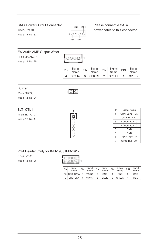#### SATA Power Output Connector **Please Connection** Please connect a SATA

(see p.12 No. 32)



 $(SATA_PWR1)$  power cable to this connector.

#### 3W Audio AMP Output Wafer

(4-pin SPEAKER1)

(see p.12 No. 25)



| <b>PIN</b> | Signal<br>Name | PIN | Signal<br>Name    | Signal<br>Name | PIN | Signal<br>Name |
|------------|----------------|-----|-------------------|----------------|-----|----------------|
|            | SPK R-         |     | SPK <sub>R+</sub> | $SPK1+$        |     | SPK L-         |

#### Buzzer

(2-pin BUZZ2) (see p.12 No. 24)

#### BLT\_CTL1

(8-pin BLT\_CTL1) (see p.12 No. 17)



 $100$ 

| 1                  | PIN            | Signal Name   |
|--------------------|----------------|---------------|
|                    |                | CON LBKLT EN  |
| $\frac{1}{2}$      | $\overline{2}$ | CON LBKLT CTL |
| $_{\circ}^{\circ}$ | 3              | LCD_BLT_VCC   |
|                    | 4              | LCD BLT VCC   |
| Э<br>C             | 5              | <b>GND</b>    |
| $\frac{1}{2}$      | 6              | <b>GND</b>    |
|                    | $\overline{7}$ | GPIO BLT UP   |
|                    | 8              | GPIO BLT DW   |
|                    |                |               |

#### VGA Header (Only for IMB-190 / IMB-191)

(10-pin VGA1)

(see p.12 No. 26)

| PIN | Signal<br>Name      | PIN | Signal<br>Name | PIN | Signal<br>Name | PIN | Signal<br>Name | PIN | Signal<br>Name |
|-----|---------------------|-----|----------------|-----|----------------|-----|----------------|-----|----------------|
|     | 10 <b>IDDC</b> DATA |     | <b>VSYNC</b>   |     | <b>GND</b>     |     | GND            |     | <b>GND</b>     |
| 9   | DDC CLK             |     | <b>HSYNC</b>   |     | <b>BLUE</b>    | c   | <b>GREEN</b>   |     | <b>RED</b>     |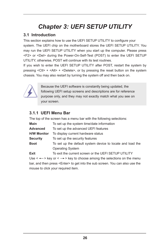## *Chapter 3: UEFI SETUP UTILITY*

#### **3.1 Introduction**

This section explains how to use the UEFI SETUP UTILITY to configure your system. The UEFI chip on the motherboard stores the UEFI SETUP UTILITY. You may run the UEFI SETUP UTILITY when you start up the computer. Please press <F2> or <Del> during the Power-On-Self-Test (POST) to enter the UEFI SETUP UTILITY, otherwise, POST will continue with its test routines.

If you wish to enter the UEFI SETUP UTILITY after POST, restart the system by pressing  $\langle Ct \rangle$  +  $\langle A|t \rangle$  +  $\langle De|t \rangle$  or by pressing the reset button on the system chassis. You may also restart by turning the system off and then back on.



Because the UEFI software is constantly being updated, the following UEFI setup screens and descriptions are for reference purpose only, and they may not exactly match what you see on your screen.

#### **3.1.1 UEFI Menu Bar**

The top of the screen has a menu bar with the following selections:

| <b>Main</b>        | To set up the system time/date information                 |
|--------------------|------------------------------------------------------------|
| <b>Advanced</b>    | To set up the advanced UEFI features                       |
| <b>H/W Monitor</b> | To display current hardware status                         |
| <b>Security</b>    | To set up the security features                            |
| <b>Boot</b>        | To set up the default system device to locate and load the |
|                    | <b>Operating System</b>                                    |
| Exit               | To exit the current screen or the UEFI SETUP UTILITY       |
|                    |                                                            |

Use  $\leftarrow$   $\rightarrow$  key or  $\leftarrow$   $\rightarrow$  key to choose among the selections on the menu bar, and then press <Enter> to get into the sub screen. You can also use the mouse to click your required item.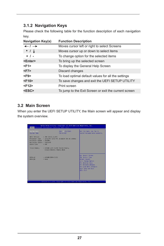#### **3.1.2 Navigation Keys**

Please check the following table for the function description of each navigation key.

| <b>Navigation Key(s)</b>     | <b>Function Description</b>                           |
|------------------------------|-------------------------------------------------------|
| $\leftarrow$ / $\rightarrow$ | Moves cursor left or right to select Screens          |
| $\uparrow$ / $\downarrow$    | Moves cursor up or down to select items               |
| $+$ / $-$                    | To change option for the selected items               |
| <enter></enter>              | To bring up the selected screen                       |
| $<$ F1>                      | To display the General Help Screen                    |
| $<$ F7>                      | Discard changes                                       |
| $<$ F9>                      | To load optimal default values for all the settings   |
| $<$ F10 $>$                  | To save changes and exit the UEFI SETUP UTILITY       |
| $<$ F12>                     | Print screen                                          |
| <esc></esc>                  | To jump to the Exit Screen or exit the current screen |

#### **3.2 Main Screen**

When you enter the UEFI SETUP UTILITY, the Main screen will appear and display the system overview.

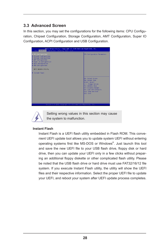#### **3.3 Advanced Screen**

In this section, you may set the configurations for the following items: CPU Configuration, Chipset Configuration, Storage Configuration, AMT Configuration, Super IO Configuration, ACPI Configuration and USB Configuration.



Setting wrong values in this section may cause the system to malfunction.

#### **Instant Flash**

Instant Flash is a UEFI flash utility embedded in Flash ROM. This convenient UEFI update tool allows you to update system UEFI without entering operating systems first like MS-DOS or Windows® . Just launch this tool and save the new UEFI file to your USB flash drive, floppy disk or hard drive, then you can update your UEFI only in a few clicks without preparing an additional floppy diskette or other complicated flash utility. Please be noted that the USB flash drive or hard drive must use FAT32/16/12 file system. If you execute Instant Flash utility, the utility will show the UEFI files and their respective information. Select the proper UEFI file to update your UEFI, and reboot your system after UEFI update process completes.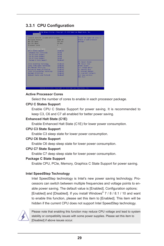### **3.3.1 CPU Configuration**

| Advanced                                                                                                                                                                                                                                                                  |                                                                                                                                            | Aptio Setup Utility - Copyright (C) 2015 American Megatrends, Inc.                                                                                                                         |
|---------------------------------------------------------------------------------------------------------------------------------------------------------------------------------------------------------------------------------------------------------------------------|--------------------------------------------------------------------------------------------------------------------------------------------|--------------------------------------------------------------------------------------------------------------------------------------------------------------------------------------------|
| Tntel(R) Core(TM) {5-6600K CPU @ 3.506Hz<br>Microcode Revision<br>Max CPU Speed<br>Min CPU Speed<br>Processor Cores<br>Active Processor Cores<br>CPU C States Support<br>Enhanced Halt State(C1E)<br>CPU C3 State Support<br>CPU C6 State Support<br>CPU C7 State Support | 506E3 49<br>3500 NHz<br>800 NH <sub>2</sub><br>4<br>fall1<br>[Enabled]<br><b>TAuto1</b><br><b>TAuto1</b><br><b>TAUtol</b><br><b>FAuto1</b> | Select the number of cores to<br>enable in each processor<br>package.                                                                                                                      |
| Package C State Support<br>Intel SpeedStep Technology<br>Intel Turbo Boost Technology<br>CPU Thermal Throttling<br>No-Execute Memory Protection<br>Intel Virtualization Technology<br>Handwane Prefetcher<br>Adjacent Cache Line Prefetch                                 | [Enabled]<br>[Enabled]<br>[Enabled]<br>[Enabled]<br>[Enabled]<br>[Enabled]<br>[Enabled]<br>[Enabled]                                       | ++: Select Screen<br>14: Select Item<br>Enter: Select<br>+/-: Change Option<br>F1: General Help<br>F7: Discard Changes<br>F9: Load UEFI Defaults<br>F10: Save and Exit<br><b>ESC: Exit</b> |

#### **Active Processor Cores**

Select the number of cores to enable in each processor package.

#### **CPU C States Support**

Enable CPU C States Support for power saving. It is recommended to keep C3, C6 and C7 all enabled for better power saving.

#### **Enhanced Halt State (C1E)**

Enable Enhanced Halt State (C1E) for lower power consumption.

#### **CPU C3 State Support**

Enable C3 sleep state for lower power consumption.

#### **CPU C6 State Support**

Enable C6 deep sleep state for lower power consumption.

#### **CPU C7 State Support**

Enable C7 deep sleep state for lower power consumption.

#### **Package C State Support**

Enable CPU, PCIe, Memory, Graphics C State Support for power saving.

#### **Intel SpeedStep Technology**

Intel SpeedStep technology is Intel's new power saving technology. Processors can switch between multiple frequencies and voltage points to enable power saving. The default value is [Enabled]. Configuration options: [Enabled] and [Disabled]. If you install Windows® 7 / 8 / 8.1 / 10 and want to enable this function, please set this item to [Enabled]. This item will be hidden if the current CPU does not support Intel SpeedStep technology.



Please note that enabling this function may reduce CPU voltage and lead to system stability or compatibility issues with some power supplies. Please set this item to [Disabled] if above issues occur.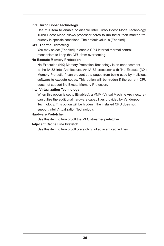#### **Intel Turbo Boost Technology**

Use this item to enable or disable Intel Turbo Boost Mode Technology. Turbo Boost Mode allows processor cores to run faster than marked frequency in specific conditions. The default value is [Enabled].

#### **CPU Thermal Throttling**

You may select [Enabled] to enable CPU internal thermal control mechanism to keep the CPU from overheating.

#### **No-Execute Memory Protection**

No-Execution (NX) Memory Protection Technology is an enhancement to the IA-32 Intel Architecture. An IA-32 processor with "No Execute (NX) Memory Protection" can prevent data pages from being used by malicious software to execute codes. This option will be hidden if the current CPU does not support No-Excute Memory Protection.

#### **Intel Virtualization Technology**

When this option is set to [Enabled], a VMM (Virtual Machine Architecture) can utilize the additional hardware capabilities provided by Vanderpool Technology. This option will be hidden if the installed CPU does not support Intel Virtualization Technology.

#### **Hardware Prefetcher**

Use this item to turn on/off the MLC streamer prefetcher.

#### **Adjacent Cache Line Prefetch**

Use this item to turn on/off prefetching of adjacent cache lines.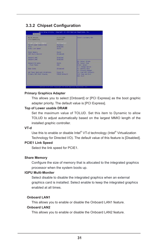### **3.3.2 Chipset Configuration**

| <b>HE FM Version</b><br>VT-d'Capability                                                        | 11.0.0.1180<br><b>Ilupported</b>                                          | Select a primary Min.                                                                                                                                                                            |
|------------------------------------------------------------------------------------------------|---------------------------------------------------------------------------|--------------------------------------------------------------------------------------------------------------------------------------------------------------------------------------------------|
| Mrimery Graphics Adapter<br>Top Of Lower usable Dram<br><b>VT+d</b><br><b>ROTE: Link Speed</b> | <b>IPCI</b> : Express1<br><b>EDungale3</b><br>[Enabled]<br><b>EQUITOR</b> | Hit Delect Screen<br><b>Il-Select Stem</b><br>Enter: Select<br>+/-: Change Option<br>Fit General Help<br>#3: Discard Changes<br>For Load USF1 Defaults<br>F10: Save and Ekit<br><b>ESET Exit</b> |
| <b>Illiner Henry</b><br>SUPER Must L-Monstron                                                  | [Auto]<br>IDissbled]                                                      |                                                                                                                                                                                                  |
| Drittcard LANT<br><b>Unboard LANZ</b>                                                          | tEnabled!<br><b>EEnab (ed)</b>                                            |                                                                                                                                                                                                  |
| Orboard HD Autio<br><b>Front Panel</b>                                                         | (Auto)<br><b>ERRED LINE</b>                                               |                                                                                                                                                                                                  |
| <b>Beng Clevel</b>                                                                             | IDisabled)                                                                |                                                                                                                                                                                                  |
| wDR Panel Bocklinn Brightneit<br>Frimary IGFX Coot Display                                     | Elevel-51<br>[VBIOS Betault]                                              |                                                                                                                                                                                                  |

#### **Primary Graphics Adapter**

This allows you to select [Onboard] or [PCI Express] as the boot graphic adapter priority. The default value is [PCI Express].

#### **Top of Lower usable DRAM**

Set the maximum value of TOLUD. Set this item to Dynamic to allow TOLUD to adjust automatically based on the largest MMIO length of the installed graphic controller.

#### **VT-d**

Use this to enable or disable Intel® VT-d technology (Intel® Virtualization Technology for Directed I/O). The default value of this feature is [Disabled].

#### **PCIE1 Link Speed**

Select the link speed for PCIE1.

#### **Share Memory**

 Configure the size of memory that is allocated to the integrated graphics processor when the system boots up.

#### **IGPU Multi-Moniter**

 Select disable to disable the integrated graphics when an external graphics card is installed. Select enable to keep the integrated graphics enabled at all times.

#### **Onboard LAN1**

This allows you to enable or disable the Onboard LAN1 feature.

#### **Onboard LAN2**

This allows you to enable or disable the Onboard LAN2 feature.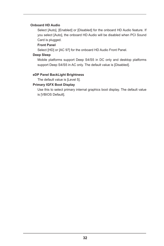#### **Onboard HD Audio**

Select [Auto], [Enabled] or [Disabled] for the onboard HD Audio feature. If you select [Auto], the onboard HD Audio will be disabled when PCI Sound Card is plugged.

#### **Front Panel**

Select [HD] or [AC 97] for the onboard HD Audio Front Panel.

#### **Deep Sleep**

Mobile platforms support Deep S4/S5 in DC only and desktop platforms support Deep S4/S5 in AC only. The default value is [Disabled].

#### **eDP Panel BackLight Brightness**

The default value is [Level 5].

#### **Primary IGFX Boot Display**

Use this to select primary internal graphics boot display. The default value is [VBIOS Default].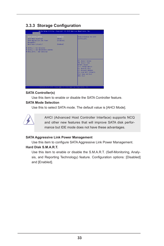#### **3.3.3 Storage Configuration**



#### **SATA Controller(s)**

Use this item to enable or disable the SATA Controller feature.

#### **SATA Mode Selection**

Use this to select SATA mode. The default value is [AHCI Mode].



AHCI (Advanced Host Controller Interface) supports NCQ and other new features that will improve SATA disk performance but IDE mode does not have these advantages.

#### **SATA Aggressive Link Power Management**

Use this item to configure SATA Aggressive Link Power Management.

#### **Hard Disk S.M.A.R.T.**

Use this item to enable or disable the S.M.A.R.T. (Self-Monitoring, Analysis, and Reporting Technology) feature. Configuration options: [Disabled] and [Enabled].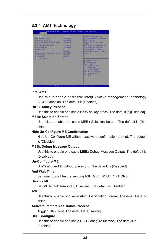#### **3.3.4 AMT Technology**

| THA' INT<br>DIOD Huthey Pressed<br>HETH Selection Screen<br>Hide Un-Configure ME Confirmation<br><b>Protect</b><br><b>MERK Debug Message Dutput</b><br><b>Un-Conf Egune ME</b><br>And Walt Timer<br><b>ATT</b><br><b>Activate Remote Augistance Process</b><br><b>USB Contigure</b><br><b>PET Progress</b><br>ANT CIRA TIMOUT | IEnabiedi<br>TDisabledT<br>EDisabieci<br><b>IDIsabled</b><br><b>IDisminal</b><br><b>IDismind</b><br>ö<br>[Enab ted]<br>TD15abled]<br>(Enabled)<br><b>Enabled</b><br>۰ | Enable/Disable Intel (A)<br>Active Management Technology<br>5100 Extension.<br>Note : LANT H/W is sloops<br>enabled, and a strategic and<br>This option just controls the<br>BING extension execution.<br>If enabled, this requires<br>additional firmure in the SPI<br>device |
|-------------------------------------------------------------------------------------------------------------------------------------------------------------------------------------------------------------------------------------------------------------------------------------------------------------------------------|-----------------------------------------------------------------------------------------------------------------------------------------------------------------------|--------------------------------------------------------------------------------------------------------------------------------------------------------------------------------------------------------------------------------------------------------------------------------|
|                                                                                                                                                                                                                                                                                                                               |                                                                                                                                                                       | Hit Belect Screen<br><b>NA+ Select Stem</b><br>Entert Select:<br>+/-1 Change Option<br>Fit General Help<br>#3: Discard Changes<br>For Load USFI Defaults<br>F10: Save and Ekit<br><b>ESET Exit</b>                                                                             |

#### **Intel AMT**

Use this to enable or disable Intel(R) Active Management Technology BIOS Extension. The default is [Enabled].

#### **BIOS Hotkey Pressed**

Use this to enable or disable BIOS hotkey press. The default is [Disabled].

#### **MEBx Selection Screen**

Use this to enable or disable MEBx Selection Screen. The default is [Disabled].

#### **Hide Un-Configure ME Confirmation**

Hide Un-Configure ME without password confirmation prompt. The default is [Disabled].

#### **MEBx Debug Message Output**

Use this to enable or disable MEBx Debug Message Output. The default is [Disabled].

#### **Un-Configure ME**

Un-Configure ME without password. The default is [Disabled].

#### **Amt Wait Timer**

Set timer to wait before sending ASF\_GET\_BOOT\_OPTIONS.

#### **Disable ME**

Set ME to Soft Temporary Disabled. The default is [Disabled].

#### **ASF**

Use this to enable or disable Alert Specification Format. The default is [Enabled].

#### **Activate Remote Assistance Process**

Trigger CIRA boot. The default is [Disabled].

#### **USB Configure**

Use this to enable or disable USB Configure function. The default is [Enabled].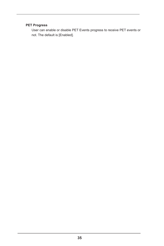#### **PET Progress**

User can enable or disable PET Events progress to receive PET events or not. The default is [Enabled].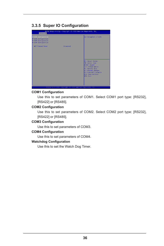### **3.3.5 Super IO Configuration**



#### **COM1 Configuration**

Use this to set parameters of COM1. Select COM1 port type: [RS232], [RS422] or [RS485].

#### **COM2 Configuration**

Use this to set parameters of COM2. Select COM2 port type: [RS232], [RS422] or [RS485].

#### **COM3 Configuration**

Use this to set parameters of COM3.

#### **COM4 Configuration**

Use this to set parameters of COM4.

#### **Watchdog Configuration**

Use this to set the Watch Dog Timer.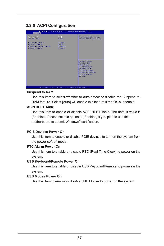### **3.3.6 ACPI Configuration**



#### **Suspend to RAM**

Use this item to select whether to auto-detect or disable the Suspend-to-RAM feature. Select [Auto] will enable this feature if the OS supports it.

#### **ACPI HPET Table**

Use this item to enable or disable ACPI HPET Table. The default value is [Enabled]. Please set this option to [Enabled] if you plan to use this motherboard to submit Windows® certification.

#### **PCIE Devices Power On**

Use this item to enable or disable PCIE devices to turn on the system from the power-soft-off mode.

#### **RTC Alarm Power On**

Use this item to enable or disable RTC (Real Time Clock) to power on the system.

#### **USB Keyboard/Remote Power On**

Use this item to enable or disable USB Keyboard/Remote to power on the system.

#### **USB Mouse Power On**

Use this item to enable or disable USB Mouse to power on the system.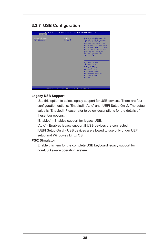### **3.3.7 USB Configuration**



#### **Legacy USB Support**

Use this option to select legacy support for USB devices. There are four configuration options: [Enabled], [Auto] and [UEFI Setup Only]. The default value is [Enabled]. Please refer to below descriptions for the details of these four options:

[Enabled] - Enables support for legacy USB.

[Auto] - Enables legacy support if USB devices are connected.

[UEFI Setup Only] - USB devices are allowed to use only under UEFI setup and Windows / Linux OS.

#### **PS/2 Simulator**

Enable this item for the complete USB keyboard legacy support for non-USB aware operating system.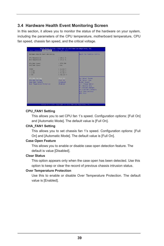#### **3.4 Hardware Health Event Monitoring Screen**

In this section, it allows you to monitor the status of the hardware on your system, including the parameters of the CPU temperature, motherboard temperature, CPU fan speed, chassis fan speed, and the critical voltage.

| Main Advanced H/H Monitor Security Boot Exit                                             | Aotio Setup Utility - Copyright (C) 2015 American Megatrends, Inc. |                                                                                                                                                                                     |
|------------------------------------------------------------------------------------------|--------------------------------------------------------------------|-------------------------------------------------------------------------------------------------------------------------------------------------------------------------------------|
| Hardware Health Event Monitoring                                                         |                                                                    | Quiet Ean Eunction Control                                                                                                                                                          |
| CPU Temperature<br>M/B Temperature                                                       | $: +49.0 °C$<br>: 437.5 °C                                         |                                                                                                                                                                                     |
| CPU FAN1 Speed<br>CHA FAN1 Speed                                                         | : 2576 RPM<br>: N/A                                                |                                                                                                                                                                                     |
| VCORE<br>$+ 3.30V$<br>$+ 5.00V$<br>$+$ VIN                                               | $: +1.064$ V<br>$: +3.360$ V<br>$: +5.136$ V<br>$: +12.160$ V      |                                                                                                                                                                                     |
| CPU_FAN1 Setting<br>CHA_FAN1 Setting<br>Case Open Feature<br>Over Temperature Protection | [Full On]<br>[Full On]<br><b>[Disabled]</b><br>[Enab1ed]           | ++: Select Screen<br>14: Select Item<br>Enter: Select<br>+/-: Change Option<br>F1: General Help<br>F7: Discard Changes<br>F9: Load UEFI Defaults<br>F10: Save and Exit<br>ESC: Exit |
|                                                                                          | Version 2.17.1249. Copyright (C) 2015 American Megatrends, Inc.    |                                                                                                                                                                                     |

#### **CPU\_FAN1 Setting**

This allows you to set CPU fan 1's speed. Configuration options: [Full On] and [Automatic Mode]. The default value is [Full On].

#### **CHA\_FAN1 Setting**

This allows you to set chassis fan 1's speed. Configuration options: [Full On] and [Automatic Mode]. The default value is [Full On].

#### **Case Open Feature**

This allows you to enable or disable case open detection feature. The default is value [Disabled].

#### **Clear Status**

This option appears only when the case open has been detected. Use this option to keep or clear the record of previous chassis intrusion status.

#### **Over Temperature Protection**

Use this to enable or disable Over Temperature Protection. The default value is [Enabled].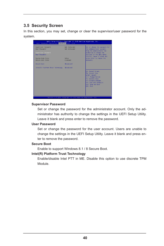#### **3.5 Security Screen**

In this section, you may set, change or clear the supervisor/user password for the system.



#### **Supervisor Password**

Set or change the password for the administrator account. Only the administrator has authority to change the settings in the UEFI Setup Utility. Leave it blank and press enter to remove the password.

#### **User Password**

Set or change the password for the user account. Users are unable to change the settings in the UEFI Setup Utility. Leave it blank and press enter to remove the password.

#### **Secure Boot**

Enable to support Windows 8.1 / 8 Secure Boot.

#### **Intel(R) Platform Trust Technology**

Enable/disable Intel PTT in ME. Disable this option to use discrete TPM Module.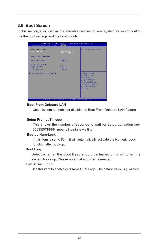#### **3.6 Boot Screen**

In this section, it will display the available devices on your system for you to configure the boot settings and the boot priority.



#### **Boot From Onboard LAN**

Use this item to enable or disable the Boot From Onboard LAN feature.

#### **Setup Prompt Timeout**

This shows the number of seconds to wait for setup activation key. 65535(0XFFFF) means indefinite waiting.

#### **Bootup Num-Lock**

If this item is set to [On], it will automatically activate the Numeric Lock function after boot-up.

#### **Boot Beep**

Select whether the Boot Beep should be turned on or off when the system boots up. Please note that a buzzer is needed.

#### **Full Screen Logo**

Use this item to enable or disable OEM Logo. The default value is [Enabled].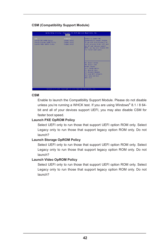#### **CSM (Compatibility Support Module)**

| Aptio Setup Utility - Copyright (C) 2015 American Megatrends, Inc.<br>Boot                        |                                                                 |                                                                                                                                                                                                                     |  |
|---------------------------------------------------------------------------------------------------|-----------------------------------------------------------------|---------------------------------------------------------------------------------------------------------------------------------------------------------------------------------------------------------------------|--|
| <b>CSH</b><br>Launch PXE OpROM Policy<br>Launch Storage OpROM Policy<br>Launch Video OpROM Policy | [Enabled]<br>[Legacy only]<br>[Legacy only]<br>[Legacy only]    | Enable to launch the<br>Compatibility Support Module.<br>If you are using Windows 8 or<br>later versions 64-bit UEFI and<br>all of your devices support<br>UEFI, you may also disable CSM<br>for faster boot speed. |  |
|                                                                                                   |                                                                 | ++: Select Screen<br><b>11:</b> Select Ttem<br>Enter: Select<br>$+\prime -$ : Change Option<br>F1: General Help<br>F7: Discard Changes<br>F9: Load UEFI Defaults<br>F10: Save and Exit<br><b>ESC: Exit</b>          |  |
|                                                                                                   | Version 2.17.1249, Copyright (C) 2015 American Megatrends, Inc. |                                                                                                                                                                                                                     |  |

#### **CSM**

Enable to launch the Compatibility Support Module. Please do not disable unless you're running a WHCK test. If you are using Windows® 8.1 / 8 64 bit and all of your devices support UEFI, you may also disable CSM for faster boot speed.

#### **Launch PXE OpROM Policy**

Select UEFI only to run those that support UEFI option ROM only. Select Legacy only to run those that support legacy option ROM only. Do not launch?

#### **Launch Storage OpROM Policy**

Select UEFI only to run those that support UEFI option ROM only. Select Legacy only to run those that support legacy option ROM only. Do not launch?

#### **Launch Video OpROM Policy**

Select UEFI only to run those that support UEFI option ROM only. Select Legacy only to run those that support legacy option ROM only. Do not launch?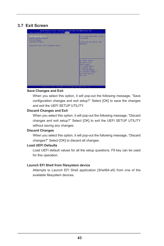#### **3.7 Exit Screen**



#### **Save Changes and Exit**

When you select this option, it will pop-out the following message, "Save configuration changes and exit setup?" Select [OK] to save the changes and exit the UEFI SETUP UTILITY.

#### **Discard Changes and Exit**

When you select this option, it will pop-out the following message, "Discard changes and exit setup?" Select [OK] to exit the UEFI SETUP UTILITY without saving any changes.

#### **Discard Changes**

When you select this option, it will pop-out the following message, "Discard changes?" Select [OK] to discard all changes.

#### **Load UEFI Defaults**

Load UEFI default values for all the setup questions. F9 key can be used for this operation.

#### **Launch EFI Shell from filesystem device**

Attempts to Launch EFI Shell application (Shell64.efi) from one of the available filesystem devices.